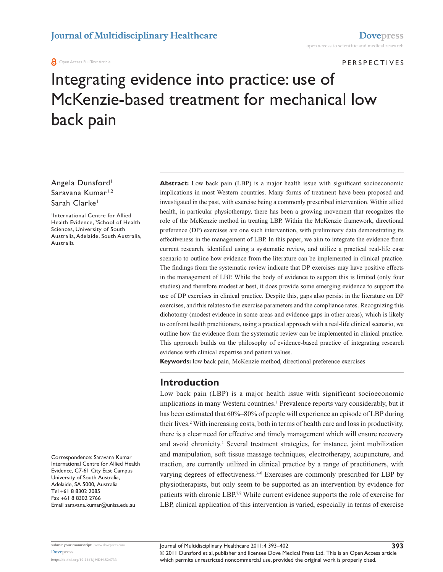**PERSPECTIVES** 

# Integrating evidence into practice: use of McKenzie-based treatment for mechanical low back pain

Angela Dunsford<sup>1</sup> Saravana Kumar<sup>1,2</sup> Sarah Clarke<sup>1</sup>

1 International Centre for Allied Health Evidence, <sup>2</sup>School of Health Sciences, University of South Australia, Adelaide, South Australia, Australia

Correspondence: Saravana Kumar International Centre for Allied Health Evidence, C7-61 City East Campus University of South Australia, Adelaide, SA 5000, Australia Tel +61 8 8302 2085 Fax +61 8 8302 2766 Email saravana.kumar@unisa.edu.au

Abstract: Low back pain (LBP) is a major health issue with significant socioeconomic implications in most Western countries. Many forms of treatment have been proposed and investigated in the past, with exercise being a commonly prescribed intervention. Within allied health, in particular physiotherapy, there has been a growing movement that recognizes the role of the McKenzie method in treating LBP. Within the McKenzie framework, directional preference (DP) exercises are one such intervention, with preliminary data demonstrating its effectiveness in the management of LBP. In this paper, we aim to integrate the evidence from current research, identified using a systematic review, and utilize a practical real-life case scenario to outline how evidence from the literature can be implemented in clinical practice. The findings from the systematic review indicate that DP exercises may have positive effects in the management of LBP. While the body of evidence to support this is limited (only four studies) and therefore modest at best, it does provide some emerging evidence to support the use of DP exercises in clinical practice. Despite this, gaps also persist in the literature on DP exercises, and this relates to the exercise parameters and the compliance rates. Recognizing this dichotomy (modest evidence in some areas and evidence gaps in other areas), which is likely to confront health practitioners, using a practical approach with a real-life clinical scenario, we outline how the evidence from the systematic review can be implemented in clinical practice. This approach builds on the philosophy of evidence-based practice of integrating research evidence with clinical expertise and patient values.

**Keywords:** low back pain, McKenzie method, directional preference exercises

## **Introduction**

Low back pain (LBP) is a major health issue with significant socioeconomic implications in many Western countries.<sup>1</sup> Prevalence reports vary considerably, but it has been estimated that 60%–80% of people will experience an episode of LBP during their lives.<sup>2</sup> With increasing costs, both in terms of health care and loss in productivity, there is a clear need for effective and timely management which will ensure recovery and avoid chronicity.<sup>1</sup> Several treatment strategies, for instance, joint mobilization and manipulation, soft tissue massage techniques, electrotherapy, acupuncture, and traction, are currently utilized in clinical practice by a range of practitioners, with varying degrees of effectiveness.<sup>3–6</sup> Exercises are commonly prescribed for LBP by physiotherapists, but only seem to be supported as an intervention by evidence for patients with chronic LBP.7,8 While current evidence supports the role of exercise for LBP, clinical application of this intervention is varied, especially in terms of exercise

which permits unrestricted noncommercial use, provided the original work is properly cited.

**Dovepress**

**submit your manuscript** | www.dovepress.com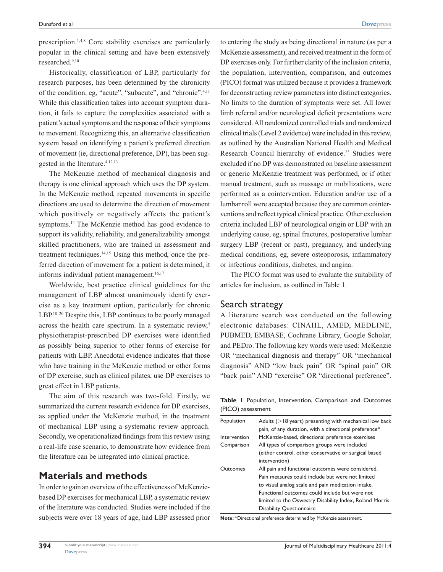prescription.1,4,8 Core stability exercises are particularly popular in the clinical setting and have been extensively researched.9,10

Historically, classification of LBP, particularly for research purposes, has been determined by the chronicity of the condition, eg, "acute", "subacute", and "chronic".4,11 While this classification takes into account symptom duration, it fails to capture the complexities associated with a patient's actual symptoms and the response of their symptoms to movement. Recognizing this, an alternative classification system based on identifying a patient's preferred direction of movement (ie, directional preference, DP), has been suggested in the literature.<sup>4,12,13</sup>

The McKenzie method of mechanical diagnosis and therapy is one clinical approach which uses the DP system. In the McKenzie method, repeated movements in specific directions are used to determine the direction of movement which positively or negatively affects the patient's symptoms.14 The McKenzie method has good evidence to support its validity, reliability, and generalizability amongst skilled practitioners, who are trained in assessment and treatment techniques.<sup>14,15</sup> Using this method, once the preferred direction of movement for a patient is determined, it informs individual patient management.<sup>16,17</sup>

Worldwide, best practice clinical guidelines for the management of LBP almost unanimously identify exercise as a key treatment option, particularly for chronic LBP.18–20 Despite this, LBP continues to be poorly managed across the health care spectrum. In a systematic review,<sup>4</sup> physiotherapist-prescribed DP exercises were identified as possibly being superior to other forms of exercise for patients with LBP. Anecdotal evidence indicates that those who have training in the McKenzie method or other forms of DP exercise, such as clinical pilates, use DP exercises to great effect in LBP patients.

The aim of this research was two-fold. Firstly, we summarized the current research evidence for DP exercises, as applied under the McKenzie method, in the treatment of mechanical LBP using a systematic review approach. Secondly, we operationalized findings from this review using a real-life case scenario, to demonstrate how evidence from the literature can be integrated into clinical practice.

## **Materials and methods**

In order to gain an overview of the effectiveness of McKenziebased DP exercises for mechanical LBP, a systematic review of the literature was conducted. Studies were included if the subjects were over 18 years of age, had LBP assessed prior to entering the study as being directional in nature (as per a McKenzie assessment), and received treatment in the form of DP exercises only. For further clarity of the inclusion criteria, the population, intervention, comparison, and outcomes (PICO) format was utilized because it provides a framework for deconstructing review parameters into distinct categories. No limits to the duration of symptoms were set. All lower limb referral and/or neurological deficit presentations were considered. All randomized controlled trials and randomized clinical trials (Level 2 evidence) were included in this review, as outlined by the Australian National Health and Medical Research Council hierarchy of evidence.<sup>23</sup> Studies were excluded if no DP was demonstrated on baseline assessment or generic McKenzie treatment was performed, or if other manual treatment, such as massage or mobilizations, were performed as a cointervention. Education and/or use of a lumbar roll were accepted because they are common cointerventions and reflect typical clinical practice. Other exclusion criteria included LBP of neurological origin or LBP with an underlying cause, eg, spinal fractures, postoperative lumbar surgery LBP (recent or past), pregnancy, and underlying medical conditions, eg, severe osteoporosis, inflammatory or infectious conditions, diabetes, and angina.

The PICO format was used to evaluate the suitability of articles for inclusion, as outlined in Table 1.

#### Search strategy

A literature search was conducted on the following electronic databases: CINAHL, AMED, MEDLINE, PUBMED, EMBASE, Cochrane Library, Google Scholar, and PEDro. The following key words were used: McKenzie OR "mechanical diagnosis and therapy" OR "mechanical diagnosis" AND "low back pain" OR "spinal pain" OR "back pain" AND "exercise" OR "directional preference".

**Table 1** Population, Intervention, Comparison and Outcomes (PICO) assessment

| Population   | Adults ( $>$ 18 years) presenting with mechanical low back<br>pain, of any duration, with a directional preference* |
|--------------|---------------------------------------------------------------------------------------------------------------------|
| Intervention | McKenzie-based, directional preference exercises                                                                    |
| Comparison   | All types of comparison groups were included                                                                        |
|              | (either control, other conservative or surgical based                                                               |
|              | intervention)                                                                                                       |
| Outcomes     | All pain and functional outcomes were considered.                                                                   |
|              | Pain measures could include but were not limited                                                                    |
|              | to visual analog scale and pain medication intake.                                                                  |
|              | Functional outcomes could include but were not                                                                      |
|              | limited to the Oswestry Disability Index, Roland Morris                                                             |
|              | <b>Disability Questionnaire</b>                                                                                     |

**Note:** \*Directional preference determined by McKenzie assessment.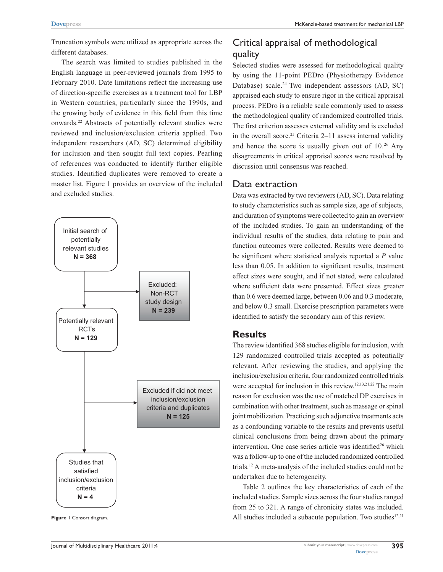Truncation symbols were utilized as appropriate across the different databases.

The search was limited to studies published in the English language in peer-reviewed journals from 1995 to February 2010. Date limitations reflect the increasing use of direction-specific exercises as a treatment tool for LBP in Western countries, particularly since the 1990s, and the growing body of evidence in this field from this time onwards.22 Abstracts of potentially relevant studies were reviewed and inclusion/exclusion criteria applied. Two independent researchers (AD, SC) determined eligibility for inclusion and then sought full text copies. Pearling of references was conducted to identify further eligible studies. Identified duplicates were removed to create a master list. Figure 1 provides an overview of the included and excluded studies.



**Figure 1** Consort diagram.

## Critical appraisal of methodological quality

Selected studies were assessed for methodological quality by using the 11-point PEDro (Physiotherapy Evidence Database) scale. $24$  Two independent assessors (AD, SC) appraised each study to ensure rigor in the critical appraisal process. PEDro is a reliable scale commonly used to assess the methodological quality of randomized controlled trials. The first criterion assesses external validity and is excluded in the overall score.<sup>25</sup> Criteria  $2-11$  assess internal validity and hence the score is usually given out of 10.<sup>26</sup> Any disagreements in critical appraisal scores were resolved by discussion until consensus was reached.

#### Data extraction

Data was extracted by two reviewers (AD, SC). Data relating to study characteristics such as sample size, age of subjects, and duration of symptoms were collected to gain an overview of the included studies. To gain an understanding of the individual results of the studies, data relating to pain and function outcomes were collected. Results were deemed to be significant where statistical analysis reported a *P* value less than 0.05. In addition to significant results, treatment effect sizes were sought, and if not stated, were calculated where sufficient data were presented. Effect sizes greater than 0.6 were deemed large, between 0.06 and 0.3 moderate, and below 0.3 small. Exercise prescription parameters were identified to satisfy the secondary aim of this review.

#### **Results**

The review identified 368 studies eligible for inclusion, with 129 randomized controlled trials accepted as potentially relevant. After reviewing the studies, and applying the inclusion/exclusion criteria, four randomized controlled trials were accepted for inclusion in this review.12,13,21,22 The main reason for exclusion was the use of matched DP exercises in combination with other treatment, such as massage or spinal joint mobilization. Practicing such adjunctive treatments acts as a confounding variable to the results and prevents useful clinical conclusions from being drawn about the primary intervention. One case series article was identified<sup>26</sup> which was a follow-up to one of the included randomized controlled trials.12 A meta-analysis of the included studies could not be undertaken due to heterogeneity.

Table 2 outlines the key characteristics of each of the included studies. Sample sizes across the four studies ranged from 25 to 321. A range of chronicity states was included. All studies included a subacute population. Two studies $12,21$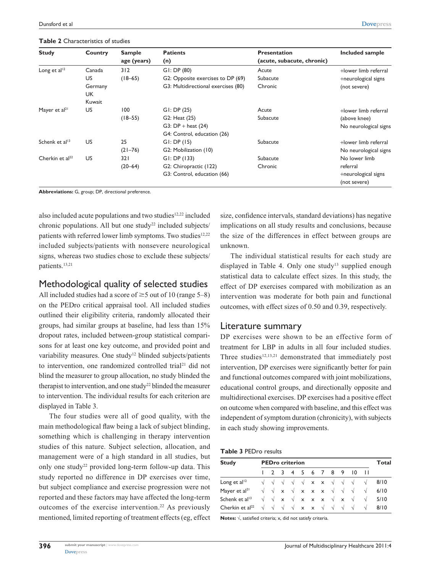**Table 2** Characteristics of studies

| <b>Study</b>               | <b>Country</b> | <b>Sample</b> | <b>Patients</b>                     | <b>Presentation</b>        | Included sample       |
|----------------------------|----------------|---------------|-------------------------------------|----------------------------|-----------------------|
|                            |                | age (years)   | (n)                                 | (acute, subacute, chronic) |                       |
| Long et $al12$             | Canada         | 312           | GI: DP(80)                          | Acute                      | +lower limb referral  |
|                            | US             | $(18 - 65)$   | G2: Opposite exercises to DP (69)   | Subacute                   | +neurological signs   |
|                            | Germany        |               | G3: Multidirectional exercises (80) | Chronic                    | (not severe)          |
|                            | <b>UK</b>      |               |                                     |                            |                       |
|                            | Kuwait         |               |                                     |                            |                       |
| Mayer et $al21$            | US             | 100           | GI: DP(25)                          | Acute                      | +lower limb referral  |
|                            |                | $(18 - 55)$   | G2: Heat (25)                       | Subacute                   | (above knee)          |
|                            |                |               | G3: $DP + heat (24)$                |                            | No neurological signs |
|                            |                |               | G4: Control, education (26)         |                            |                       |
| Schenk et al <sup>13</sup> | <b>US</b>      | 25            | GI: DP(15)                          | Subacute                   | +lower limb referral  |
|                            |                | $(21 - 76)$   | G2: Mobilization (10)               |                            | No neurological signs |
| Cherkin et $al22$          | US             | 321           | GI: DP(133)                         | Subacute                   | No lower limb         |
|                            |                | $(20 - 64)$   | G2: Chiropractic (122)              | Chronic                    | referral              |
|                            |                |               | G3: Control, education (66)         |                            | +neurological signs   |
|                            |                |               |                                     |                            | (not severe)          |

**Abbreviations:** G, group; DP, directional preference.

also included acute populations and two studies<sup>12,22</sup> included chronic populations. All but one study<sup>22</sup> included subjects/ patients with referred lower limb symptoms. Two studies<sup>12,22</sup> included subjects/patients with nonsevere neurological signs, whereas two studies chose to exclude these subjects/ patients.13,21

#### Methodological quality of selected studies

All included studies had a score of  $\geq$  5 out of 10 (range 5–8) on the PEDro critical appraisal tool. All included studies outlined their eligibility criteria, randomly allocated their groups, had similar groups at baseline, had less than 15% dropout rates, included between-group statistical comparisons for at least one key outcome, and provided point and variability measures. One study<sup>12</sup> blinded subjects/patients to intervention, one randomized controlled trial<sup>21</sup> did not blind the measurer to group allocation, no study blinded the therapist to intervention, and one study<sup>22</sup> blinded the measurer to intervention. The individual results for each criterion are displayed in Table 3.

The four studies were all of good quality, with the main methodological flaw being a lack of subject blinding, something which is challenging in therapy intervention studies of this nature. Subject selection, allocation, and management were of a high standard in all studies, but only one study<sup>22</sup> provided long-term follow-up data. This study reported no difference in DP exercises over time, but subject compliance and exercise progression were not reported and these factors may have affected the long-term outcomes of the exercise intervention.<sup>22</sup> As previously mentioned, limited reporting of treatment effects (eg, effect size, confidence intervals, standard deviations) has negative implications on all study results and conclusions, because the size of the differences in effect between groups are unknown.

The individual statistical results for each study are displayed in Table 4. Only one study<sup>13</sup> supplied enough statistical data to calculate effect sizes. In this study, the effect of DP exercises compared with mobilization as an intervention was moderate for both pain and functional outcomes, with effect sizes of 0.50 and 0.39, respectively.

#### Literature summary

DP exercises were shown to be an effective form of treatment for LBP in adults in all four included studies. Three studies $12,13,21$  demonstrated that immediately post intervention, DP exercises were significantly better for pain and functional outcomes compared with joint mobilizations, educational control groups, and directionally opposite and multidirectional exercises. DP exercises had a positive effect on outcome when compared with baseline, and this effect was independent of symptom duration (chronicity), with subjects in each study showing improvements.

| <b>Study</b>                | <b>PEDro criterion</b> |                  |  |  |                                                        |  |  | <b>Total</b>                                           |                 |            |      |
|-----------------------------|------------------------|------------------|--|--|--------------------------------------------------------|--|--|--------------------------------------------------------|-----------------|------------|------|
|                             |                        | 2 <sup>3</sup>   |  |  | 4 5 6 7 8 9                                            |  |  |                                                        | $\overline{10}$ | - 11       |      |
| Long et $al12$              |                        | $\sqrt{ }$       |  |  |                                                        |  |  | $\sqrt{1}$ $\sqrt{1}$ $\sqrt{1}$ $\sqrt{1}$ $\sqrt{1}$ | V               | V          | 8/10 |
| Mayer et al <sup>21</sup>   |                        |                  |  |  | $\sqrt{2}$ $\sqrt{x}$ $\sqrt{x}$ $\sqrt{x}$ $\sqrt{x}$ |  |  | $\sqrt{ }$                                             | $\sqrt{ }$      | $\sqrt{ }$ | 6/10 |
| Schenk et al <sup>13</sup>  | $\sqrt{ }$             | $\sqrt{ }$       |  |  |                                                        |  |  | $x \lor x \times x \lor x \lor x$                      |                 | $\sqrt{ }$ | 5/10 |
| Cherkin et al <sup>22</sup> |                        | $\sqrt{\sqrt{}}$ |  |  | $\sqrt{2}$ $\sqrt{2}$ $\sqrt{2}$ $\sqrt{2}$            |  |  | $\sqrt{ }$                                             | $\sqrt{ }$      | $\sqrt{ }$ | 8/10 |

**Notes:** √, satisfied criteria; x, did not satisfy criteria.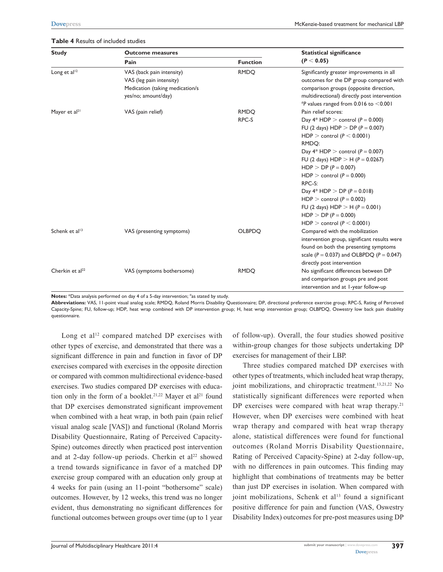| <b>Study</b>               | <b>Outcome measures</b>                                                                                         | <b>Statistical significance</b> |                                                                                                                                                                                                                                                                                                                                                                                                                                         |
|----------------------------|-----------------------------------------------------------------------------------------------------------------|---------------------------------|-----------------------------------------------------------------------------------------------------------------------------------------------------------------------------------------------------------------------------------------------------------------------------------------------------------------------------------------------------------------------------------------------------------------------------------------|
|                            | Pain                                                                                                            | <b>Function</b>                 | (P < 0.05)                                                                                                                                                                                                                                                                                                                                                                                                                              |
| Long et al <sup>12</sup>   | VAS (back pain intensity)<br>VAS (leg pain intensity)<br>Medication (taking medication/s<br>yes/no; amount/day) | <b>RMDQ</b>                     | Significantly greater improvements in all<br>outcomes for the DP group compared with<br>comparison groups (opposite direction,<br>multidirectional) directly post intervention<br><sup>#P</sup> values ranged from $0.016$ to $\leq 0.001$                                                                                                                                                                                              |
| Mayer et $al21$            | VAS (pain relief)                                                                                               | <b>RMDQ</b><br>RPC-S            | Pain relief scores:<br>Day $4*HDP >$ control ( $P = 0.000$ )<br>FU (2 days) HDP $>$ DP (P = 0.007)<br>$HDP >$ control ( $P < 0.0001$ )<br>RMDO:<br>Day $4*$ HDP $>$ control (P = 0.007)<br>FU (2 days) HDP $>$ H (P = 0.0267)<br>$HDP > DP (P = 0.007)$<br>HDP $>$ control ( $P = 0.000$ )<br>RPC-S:<br>Day 4* HDP $>$ DP (P = 0.018)<br>HDP $>$ control ( $P = 0.002$ )<br>FU (2 days) HDP $>$ H (P = 0.001)<br>$HDP > DP (P = 0.000)$ |
| Schenk et al <sup>13</sup> | VAS (presenting symptoms)                                                                                       | <b>OLBPDO</b>                   | $HDP >$ control ( $P < 0.0001$ )<br>Compared with the mobilization<br>intervention group, significant results were<br>found on both the presenting symptoms<br>scale ( $P = 0.037$ ) and OLBPDQ ( $P = 0.047$ )<br>directly post intervention                                                                                                                                                                                           |
| Cherkin et $al^{22}$       | VAS (symptoms bothersome)                                                                                       | <b>RMDQ</b>                     | No significant differences between DP<br>and comparison groups pre and post<br>intervention and at 1-year follow-up                                                                                                                                                                                                                                                                                                                     |

#### **Table 4** Results of included studies

**Notes:** \*Data analysis performed on day 4 of a 5-day intervention; #as stated by study.

**Abbreviations:** VAS, 11-point visual analog scale; RMDQ, Roland Morris Disability Questionnaire; DP, directional preference exercise group; RPC-S, Rating of Perceived Capacity-Spine; FU, follow-up; HDP, heat wrap combined with DP intervention group; H, heat wrap intervention group; OLBPDQ, Oswestry low back pain disability questionnaire.

Long et al<sup>12</sup> compared matched DP exercises with other types of exercise, and demonstrated that there was a significant difference in pain and function in favor of DP exercises compared with exercises in the opposite direction or compared with common multidirectional evidence-based exercises. Two studies compared DP exercises with education only in the form of a booklet.<sup>21,22</sup> Mayer et al<sup>21</sup> found that DP exercises demonstrated significant improvement when combined with a heat wrap, in both pain (pain relief visual analog scale [VAS]) and functional (Roland Morris Disability Questionnaire, Rating of Perceived Capacity-Spine) outcomes directly when practiced post intervention and at 2-day follow-up periods. Cherkin et al<sup>22</sup> showed a trend towards significance in favor of a matched DP exercise group compared with an education only group at 4 weeks for pain (using an 11-point "bothersome" scale) outcomes. However, by 12 weeks, this trend was no longer evident, thus demonstrating no significant differences for functional outcomes between groups over time (up to 1 year

of follow-up). Overall, the four studies showed positive within-group changes for those subjects undertaking DP exercises for management of their LBP.

Three studies compared matched DP exercises with other types of treatments, which included heat wrap therapy, joint mobilizations, and chiropractic treatment.<sup>13,21,22</sup> No statistically significant differences were reported when DP exercises were compared with heat wrap therapy.<sup>21</sup> However, when DP exercises were combined with heat wrap therapy and compared with heat wrap therapy alone, statistical differences were found for functional outcomes (Roland Morris Disability Questionnaire, Rating of Perceived Capacity-Spine) at 2-day follow-up, with no differences in pain outcomes. This finding may highlight that combinations of treatments may be better than just DP exercises in isolation. When compared with joint mobilizations, Schenk et al<sup>13</sup> found a significant positive difference for pain and function (VAS, Oswestry Disability Index) outcomes for pre-post measures using DP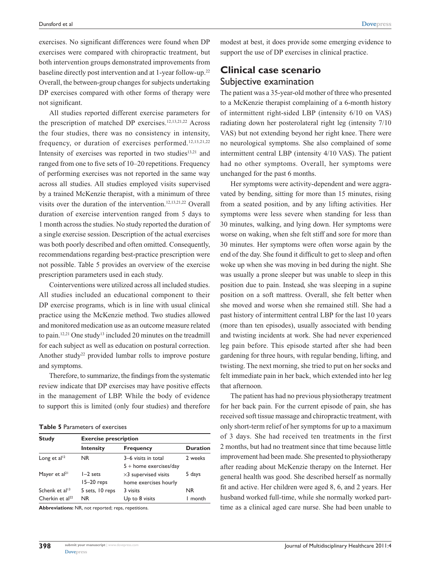exercises. No significant differences were found when DP exercises were compared with chiropractic treatment, but both intervention groups demonstrated improvements from baseline directly post intervention and at 1-year follow-up.<sup>22</sup> Overall, the between-group changes for subjects undertaking DP exercises compared with other forms of therapy were not significant.

All studies reported different exercise parameters for the prescription of matched DP exercises.<sup>12,13,21,22</sup> Across the four studies, there was no consistency in intensity, frequency, or duration of exercises performed.<sup>12,13,21,22</sup> Intensity of exercises was reported in two studies $13,21$  and ranged from one to five sets of 10–20 repetitions. Frequency of performing exercises was not reported in the same way across all studies. All studies employed visits supervised by a trained McKenzie therapist, with a minimum of three visits over the duration of the intervention.12,13,21,22 Overall duration of exercise intervention ranged from 5 days to 1 month across the studies. No study reported the duration of a single exercise session. Description of the actual exercises was both poorly described and often omitted. Consequently, recommendations regarding best-practice prescription were not possible. Table 5 provides an overview of the exercise prescription parameters used in each study.

Cointerventions were utilized across all included studies. All studies included an educational component to their DP exercise programs, which is in line with usual clinical practice using the McKenzie method. Two studies allowed and monitored medication use as an outcome measure related to pain.12,21 One study13 included 20 minutes on the treadmill for each subject as well as education on postural correction. Another study<sup>22</sup> provided lumbar rolls to improve posture and symptoms.

Therefore, to summarize, the findings from the systematic review indicate that DP exercises may have positive effects in the management of LBP. While the body of evidence to support this is limited (only four studies) and therefore

**Table 5** Parameters of exercises

| <b>Study</b>               | <b>Exercise prescription</b> |                                                          |                 |  |  |  |  |
|----------------------------|------------------------------|----------------------------------------------------------|-----------------|--|--|--|--|
|                            | <b>Intensity</b>             | <b>Frequency</b>                                         | <b>Duration</b> |  |  |  |  |
| Long et $al12$             | NR.                          | 3-6 visits in total                                      | 2 weeks         |  |  |  |  |
| Mayer et $al21$            | $I-2$ sets                   | $5 +$ home exercises/day<br>$\times$ 3 supervised visits | 5 days          |  |  |  |  |
|                            | $15-20$ reps                 | home exercises hourly                                    |                 |  |  |  |  |
| Schenk et al <sup>13</sup> | 5 sets, 10 reps              | 3 visits                                                 | <b>NR</b>       |  |  |  |  |
| Cherkin et $al^{22}$       | NR.                          | Up to 8 visits                                           | I month         |  |  |  |  |

**Abbreviations:** NR, not reported; reps, repetitions.

modest at best, it does provide some emerging evidence to support the use of DP exercises in clinical practice.

# **Clinical case scenario** Subjective examination

The patient was a 35-year-old mother of three who presented to a McKenzie therapist complaining of a 6-month history of intermittent right-sided LBP (intensity 6/10 on VAS) radiating down her posterolateral right leg (intensity 7/10 VAS) but not extending beyond her right knee. There were no neurological symptoms. She also complained of some intermittent central LBP (intensity 4/10 VAS). The patient had no other symptoms. Overall, her symptoms were unchanged for the past 6 months.

Her symptoms were activity-dependent and were aggravated by bending, sitting for more than 15 minutes, rising from a seated position, and by any lifting activities. Her symptoms were less severe when standing for less than 30 minutes, walking, and lying down. Her symptoms were worse on waking, when she felt stiff and sore for more than 30 minutes. Her symptoms were often worse again by the end of the day. She found it difficult to get to sleep and often woke up when she was moving in bed during the night. She was usually a prone sleeper but was unable to sleep in this position due to pain. Instead, she was sleeping in a supine position on a soft mattress. Overall, she felt better when she moved and worse when she remained still. She had a past history of intermittent central LBP for the last 10 years (more than ten episodes), usually associated with bending and twisting incidents at work. She had never experienced leg pain before. This episode started after she had been gardening for three hours, with regular bending, lifting, and twisting. The next morning, she tried to put on her socks and felt immediate pain in her back, which extended into her leg that afternoon.

The patient has had no previous physiotherapy treatment for her back pain. For the current episode of pain, she has received soft tissue massage and chiropractic treatment, with only short-term relief of her symptoms for up to a maximum of 3 days. She had received ten treatments in the first 2 months, but had no treatment since that time because little improvement had been made. She presented to physiotherapy after reading about McKenzie therapy on the Internet. Her general health was good. She described herself as normally fit and active. Her children were aged 8, 6, and 2 years. Her husband worked full-time, while she normally worked parttime as a clinical aged care nurse. She had been unable to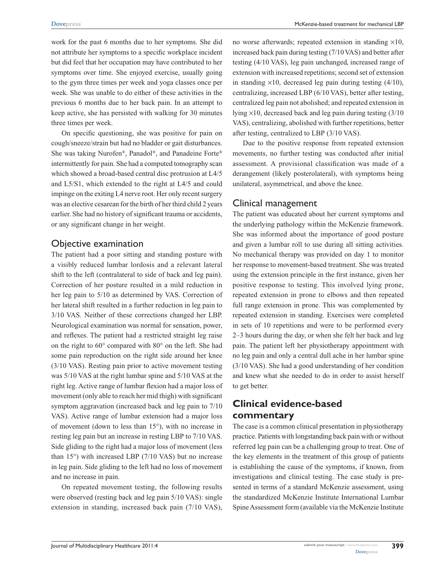McKenzie-based treatment for mechanical LBP

work for the past 6 months due to her symptoms. She did not attribute her symptoms to a specific workplace incident but did feel that her occupation may have contributed to her symptoms over time. She enjoyed exercise, usually going to the gym three times per week and yoga classes once per week. She was unable to do either of these activities in the previous 6 months due to her back pain. In an attempt to keep active, she has persisted with walking for 30 minutes three times per week.

On specific questioning, she was positive for pain on cough/sneeze/strain but had no bladder or gait disturbances. She was taking Nurofen®, Panadol®, and Panadeine Forte® intermittently for pain. She had a computed tomography scan which showed a broad-based central disc protrusion at L4/5 and L5/S1, which extended to the right at L4/5 and could impinge on the exiting L4 nerve root. Her only recent surgery was an elective cesarean for the birth of her third child 2 years earlier. She had no history of significant trauma or accidents, or any significant change in her weight.

### Objective examination

The patient had a poor sitting and standing posture with a visibly reduced lumbar lordosis and a relevant lateral shift to the left (contralateral to side of back and leg pain). Correction of her posture resulted in a mild reduction in her leg pain to 5/10 as determined by VAS. Correction of her lateral shift resulted in a further reduction in leg pain to 3/10 VAS. Neither of these corrections changed her LBP. Neurological examination was normal for sensation, power, and reflexes. The patient had a restricted straight leg raise on the right to 60° compared with 80° on the left. She had some pain reproduction on the right side around her knee (3/10 VAS). Resting pain prior to active movement testing was 5/10 VAS at the right lumbar spine and 5/10 VAS at the right leg. Active range of lumbar flexion had a major loss of movement (only able to reach her mid thigh) with significant symptom aggravation (increased back and leg pain to 7/10 VAS). Active range of lumbar extension had a major loss of movement (down to less than 15°), with no increase in resting leg pain but an increase in resting LBP to 7/10 VAS. Side gliding to the right had a major loss of movement (less than 15°) with increased LBP (7/10 VAS) but no increase in leg pain. Side gliding to the left had no loss of movement and no increase in pain.

On repeated movement testing, the following results were observed (resting back and leg pain 5/10 VAS): single extension in standing, increased back pain (7/10 VAS), no worse afterwards; repeated extension in standing  $\times 10$ , increased back pain during testing (7/10 VAS) and better after testing (4/10 VAS), leg pain unchanged, increased range of extension with increased repetitions; second set of extension in standing  $\times 10$ , decreased leg pain during testing (4/10), centralizing, increased LBP (6/10 VAS), better after testing, centralized leg pain not abolished; and repeated extension in lying  $\times$ 10, decreased back and leg pain during testing  $(3/10)$ VAS), centralizing, abolished with further repetitions, better after testing, centralized to LBP (3/10 VAS).

Due to the positive response from repeated extension movements, no further testing was conducted after initial assessment. A provisional classification was made of a derangement (likely posterolateral), with symptoms being unilateral, asymmetrical, and above the knee.

## Clinical management

The patient was educated about her current symptoms and the underlying pathology within the McKenzie framework. She was informed about the importance of good posture and given a lumbar roll to use during all sitting activities. No mechanical therapy was provided on day 1 to monitor her response to movement-based treatment. She was treated using the extension principle in the first instance, given her positive response to testing. This involved lying prone, repeated extension in prone to elbows and then repeated full range extension in prone. This was complemented by repeated extension in standing. Exercises were completed in sets of 10 repetitions and were to be performed every 2–3 hours during the day, or when she felt her back and leg pain. The patient left her physiotherapy appointment with no leg pain and only a central dull ache in her lumbar spine (3/10 VAS). She had a good understanding of her condition and knew what she needed to do in order to assist herself to get better.

# **Clinical evidence-based commentary**

The case is a common clinical presentation in physiotherapy practice. Patients with longstanding back pain with or without referred leg pain can be a challenging group to treat. One of the key elements in the treatment of this group of patients is establishing the cause of the symptoms, if known, from investigations and clinical testing. The case study is presented in terms of a standard McKenzie assessment, using the standardized McKenzie Institute International Lumbar Spine Assessment form (available via the McKenzie Institute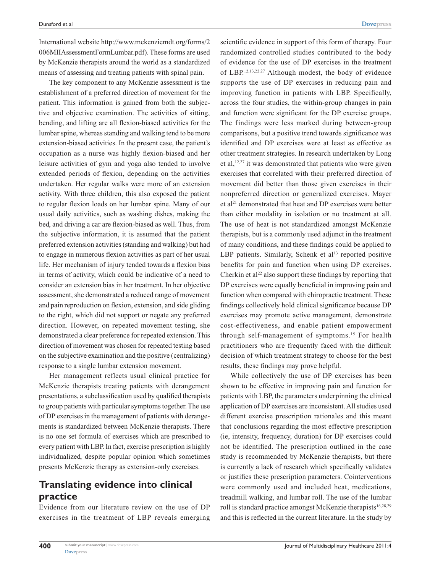International website http://www.mckenziemdt.org/forms/2 006MIIAssessmentFormLumbar.pdf). These forms are used by McKenzie therapists around the world as a standardized means of assessing and treating patients with spinal pain.

The key component to any McKenzie assessment is the establishment of a preferred direction of movement for the patient. This information is gained from both the subjective and objective examination. The activities of sitting, bending, and lifting are all flexion-biased activities for the lumbar spine, whereas standing and walking tend to be more extension-biased activities. In the present case, the patient's occupation as a nurse was highly flexion-biased and her leisure activities of gym and yoga also tended to involve extended periods of flexion, depending on the activities undertaken. Her regular walks were more of an extension activity. With three children, this also exposed the patient to regular flexion loads on her lumbar spine. Many of our usual daily activities, such as washing dishes, making the bed, and driving a car are flexion-biased as well. Thus, from the subjective information, it is assumed that the patient preferred extension activities (standing and walking) but had to engage in numerous flexion activities as part of her usual life. Her mechanism of injury tended towards a flexion bias in terms of activity, which could be indicative of a need to consider an extension bias in her treatment. In her objective assessment, she demonstrated a reduced range of movement and pain reproduction on flexion, extension, and side gliding to the right, which did not support or negate any preferred direction. However, on repeated movement testing, she demonstrated a clear preference for repeated extension. This direction of movement was chosen for repeated testing based on the subjective examination and the positive (centralizing) response to a single lumbar extension movement.

Her management reflects usual clinical practice for McKenzie therapists treating patients with derangement presentations, a subclassification used by qualified therapists to group patients with particular symptoms together. The use of DP exercises in the management of patients with derangements is standardized between McKenzie therapists. There is no one set formula of exercises which are prescribed to every patient with LBP. In fact, exercise prescription is highly individualized, despite popular opinion which sometimes presents McKenzie therapy as extension-only exercises.

## **Translating evidence into clinical practice**

Evidence from our literature review on the use of DP exercises in the treatment of LBP reveals emerging scientific evidence in support of this form of therapy. Four randomized controlled studies contributed to the body of evidence for the use of DP exercises in the treatment of LBP.12,13,22,27 Although modest, the body of evidence supports the use of DP exercises in reducing pain and improving function in patients with LBP. Specifically, across the four studies, the within-group changes in pain and function were significant for the DP exercise groups. The findings were less marked during between-group comparisons, but a positive trend towards significance was identified and DP exercises were at least as effective as other treatment strategies. In research undertaken by Long et al, $12,27$  it was demonstrated that patients who were given exercises that correlated with their preferred direction of movement did better than those given exercises in their nonpreferred direction or generalized exercises. Mayer et al<sup>21</sup> demonstrated that heat and DP exercises were better than either modality in isolation or no treatment at all. The use of heat is not standardized amongst McKenzie therapists, but is a commonly used adjunct in the treatment of many conditions, and these findings could be applied to LBP patients. Similarly, Schenk et al $13$  reported positive benefits for pain and function when using DP exercises. Cherkin et  $al^{22}$  also support these findings by reporting that DP exercises were equally beneficial in improving pain and function when compared with chiropractic treatment. These findings collectively hold clinical significance because DP exercises may promote active management, demonstrate cost-effectiveness, and enable patient empowerment through self-management of symptoms.<sup>15</sup> For health practitioners who are frequently faced with the difficult decision of which treatment strategy to choose for the best results, these findings may prove helpful.

While collectively the use of DP exercises has been shown to be effective in improving pain and function for patients with LBP, the parameters underpinning the clinical application of DP exercises are inconsistent. All studies used different exercise prescription rationales and this meant that conclusions regarding the most effective prescription (ie, intensity, frequency, duration) for DP exercises could not be identified. The prescription outlined in the case study is recommended by McKenzie therapists, but there is currently a lack of research which specifically validates or justifies these prescription parameters. Cointerventions were commonly used and included heat, medications, treadmill walking, and lumbar roll. The use of the lumbar roll is standard practice amongst McKenzie therapists<sup>16,28,29</sup> and this is reflected in the current literature. In the study by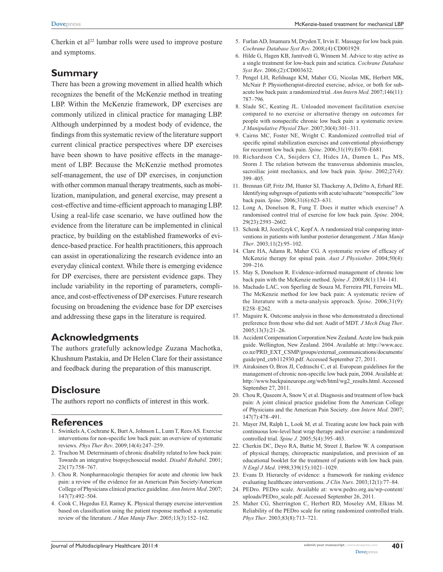Cherkin et al<sup>22</sup> lumbar rolls were used to improve posture and symptoms.

## **Summary**

There has been a growing movement in allied health which recognizes the benefit of the McKenzie method in treating LBP. Within the McKenzie framework, DP exercises are commonly utilized in clinical practice for managing LBP. Although underpinned by a modest body of evidence, the findings from this systematic review of the literature support current clinical practice perspectives where DP exercises have been shown to have positive effects in the management of LBP. Because the McKenzie method promotes self-management, the use of DP exercises, in conjunction with other common manual therapy treatments, such as mobilization, manipulation, and general exercise, may present a cost-effective and time-efficient approach to managing LBP. Using a real-life case scenario, we have outlined how the evidence from the literature can be implemented in clinical practice, by building on the established frameworks of evidence-based practice. For health practitioners, this approach can assist in operationalizing the research evidence into an everyday clinical context. While there is emerging evidence for DP exercises, there are persistent evidence gaps. They include variability in the reporting of parameters, compliance, and cost-effectiveness of DP exercises. Future research focusing on broadening the evidence base for DP exercises and addressing these gaps in the literature is required.

## **Acknowledgments**

The authors gratefully acknowledge Zuzana Machotka, Khushnum Pastakia, and Dr Helen Clare for their assistance and feedback during the preparation of this manuscript.

## **Disclosure**

The authors report no conflicts of interest in this work.

## **References**

- 1. Swinkels A, Cochrane K, Burt A, Johnson L, Lunn T, Rees AS. Exercise interventions for non-specific low back pain: an overview of systematic reviews. *Phys Ther Rev*. 2009;14(4):247–259.
- 2. Truchon M. Determinants of chronic disability related to low back pain: Towards an integrative biopsychosocial model. *Disabil Rehabil*. 2001; 23(17):758–767.
- 3. Chou R. Nonpharmacologic therapies for acute and chronic low back pain: a review of the evidence for an American Pain Society/American College of Physicians clinical practice guideline. *Ann Intern Med*. 2007; 147(7):492–504.
- 4. Cook C, Hegedus EJ, Ramey K. Physical therapy exercise intervention based on classification using the patient response method: a systematic review of the literature. *J Man Manip Ther*. 2005;13(3):152–162.
- 5. Furlan AD, Imamura M, Dryden T, Irvin E. Massage for low back pain. *Cochrane Database Syst Rev*. 2008;(4):CD001929.
- 6. Hilde G, Hagen KB, Jamtvedt G, Winnem M. Advice to stay active as a single treatment for low-back pain and sciatica. *Cochrane Database Syst Rev*. 2006;(2):CD003632.
- 7. Pengel LH, Refshuage KM, Maher CG, Nicolas MK, Herbert MK, McNair P. Physiotherapist-directed exercise, advice, or both for subacute low back pain: a randomized trial. *Ann Intern Med*. 2007;146(11): 787–796.
- 8. Slade SC, Keating JL. Unloaded movement facilitation exercise compared to no exercise or alternative therapy on outcomes for people with nonspecific chronic low back pain: a systematic review. *J Manipulative Physiol Ther*. 2007;30(4):301–311.
- 9. Cairns MC, Foster NE, Wright C. Randomized controlled trial of specific spinal stabilization exercises and conventional physiotherapy for recurrent low back pain. *Spine*. 2006;31(19):E670–E681.
- 10. Richardson CA, Snijders CJ, Hides JA, Damen L, Pas MS, Storm J. The relation between the transversus abdominis muscles, sacroiliac joint mechanics, and low back pain. *Spine*. 2002;27(4): 399–405.
- 11. Brennan GP, Fritz JM, Hunter SJ, Thackeray A, Delitto A, Erhard RE. Identifying subgroups of patients with acute/subacute "nonspecific" low back pain. *Spine*. 2006;31(6):623–631.
- 12. Long A, Donelson R, Fung T. Does it matter which exercise? A randomised control trial of exercise for low back pain. *Spine*. 2004; 29(23):2593–2602.
- 13. Schenk RJ, Jozefczyk C, Kopf A. A randomized trial comparing interventions in patients with lumbar posterior derangement. *J Man Manip Ther*. 2003;11(2):95–102.
- 14. Clare HA, Adams R, Maher CG. A systematic review of efficacy of McKenzie therapy for spinal pain. *Aust J Physiother*. 2004;50(4): 209–216.
- 15. May S, Donelson R. Evidence-informed management of chronic low back pain with the McKenzie method. *Spine J*. 2008;8(1):134–141.
- 16. Machado LAC, von Sperling de Souza M, Ferreira PH, Ferreira ML. The McKenzie method for low back pain: A systematic review of the literature with a meta-analysis approach. *Spine*. 2006;31(9): E258–E262.
- 17. Maguire K. Outcome analysis in those who demonstrated a directional preference from those who did not: Audit of MDT. *J Mech Diag Ther*. 2005;13(3):21–26.
- 18. Accident Compensation Corporation New Zealand. Acute low back pain guide. Wellington, New Zealand. 2004. Available at: http://www.acc. co.nz/PRD\_EXT\_CSMP/groups/external\_communications/documents/ guide/prd\_ctrb112930.pdf. Accessed September 27, 2011.
- 19. Airaksinen O, Brox JI, Cedraschi C, et al. European guidelines for the management of chronic non-specific low back pain, 2004. Available at: http://www.backpaineurope.org/web/html/wg2\_results.html. Accessed September 27, 2011.
- 20. Chou R, Qaseem A, Snow V, et al. Diagnosis and treatment of low back pain: A joint clinical practice guideline from the American College of Physicians and the American Pain Society. *Ann Intern Med*. 2007; 147(7):478–491.
- 21. Mayer JM, Ralph L, Look M, et al. Treating acute low back pain with continuous low-level heat wrap therapy and/or exercise: a randomized controlled trial. *Spine J*. 2005;5(4):395–403.
- 22. Cherkin DC, Deyo RA, Battie M, Street J, Barlow W. A comparison of physical therapy, chiropractic manipulation, and provision of an educational booklet for the treatment of patients with low back pain. *N Engl J Med*. 1998;339(15):1021–1029.
- 23. Evans D. Hierarchy of evidence: a framework for ranking evidence evaluating healthcare interventions. *J Clin Nurs*. 2003;12(1):77–84.
- 24. PEDro. PEDro scale. Available at: www.pedro.org.au/wp-content/ uploads/PEDro\_scale.pdf. Accessed September 26, 2011.
- 25. Maher CG, Sherrington C, Herbert RD, Moseley AM, Elkins M. Reliability of the PEDro scale for rating randomized controlled trials. *Phys Ther*. 2003;83(8):713–721.